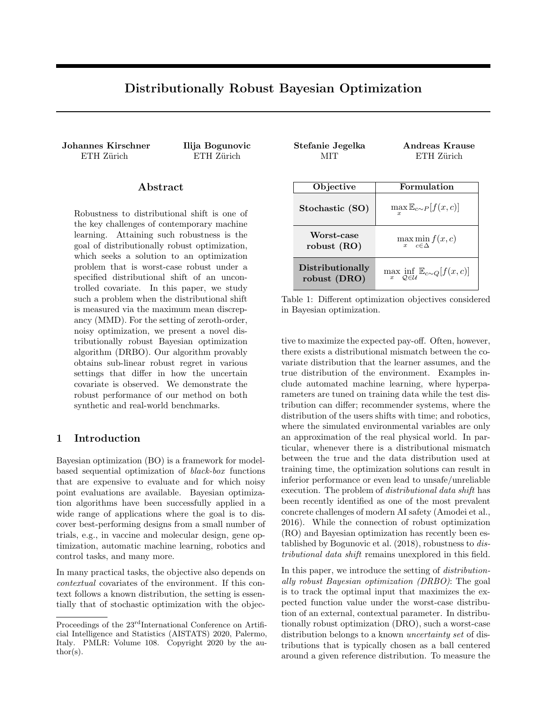# Distributionally Robust Bayesian Optimization

Johannes Kirschner Ilija Bogunovic

## Abstract

Robustness to distributional shift is one of the key challenges of contemporary machine learning. Attaining such robustness is the goal of distributionally robust optimization, which seeks a solution to an optimization problem that is worst-case robust under a specified distributional shift of an uncontrolled covariate. In this paper, we study such a problem when the distributional shift is measured via the maximum mean discrepancy (MMD). For the setting of zeroth-order, noisy optimization, we present a novel distributionally robust Bayesian optimization algorithm (DRBO). Our algorithm provably obtains sub-linear robust regret in various settings that differ in how the uncertain covariate is observed. We demonstrate the robust performance of our method on both synthetic and real-world benchmarks.

## 1 Introduction

Bayesian optimization (BO) is a framework for modelbased sequential optimization of black-box functions that are expensive to evaluate and for which noisy point evaluations are available. Bayesian optimization algorithms have been successfully applied in a wide range of applications where the goal is to discover best-performing designs from a small number of trials, e.g., in vaccine and molecular design, gene optimization, automatic machine learning, robotics and control tasks, and many more.

In many practical tasks, the objective also depends on contextual covariates of the environment. If this context follows a known distribution, the setting is essentially that of stochastic optimization with the objec-

| unnes Kirschner<br>ETH Zürich                                                                                                                                                                                                                                                                                                                                         | Ilija Bogunovic<br>ETH Zürich | Stefanie Jegelka<br>MІТ          | Andreas Krause<br>ETH Zürich                                                 |
|-----------------------------------------------------------------------------------------------------------------------------------------------------------------------------------------------------------------------------------------------------------------------------------------------------------------------------------------------------------------------|-------------------------------|----------------------------------|------------------------------------------------------------------------------|
| Abstract                                                                                                                                                                                                                                                                                                                                                              |                               | Objective                        | Formulation                                                                  |
| obustness to distributional shift is one of<br>e key challenges of contemporary machine<br>arning. Attaining such robustness is the<br>bal of distributionally robust optimization,<br>hich seeks a solution to an optimization<br>roblem that is worst-case robust under a<br>ecified distributional shift of an uncon-<br>ollod ooxoniqta. In this nanan xxa study: |                               | Stochastic (SO)                  | $\max_{x} \mathbb{E}_{c \sim P}[f(x, c)]$                                    |
|                                                                                                                                                                                                                                                                                                                                                                       |                               | Worst-case<br>robust $(RO)$      | $\max_{x} \min_{c \in \Delta} f(x, c)$                                       |
|                                                                                                                                                                                                                                                                                                                                                                       |                               | Distributionally<br>robust (DRO) | $\max_{x} \inf_{\mathcal{Q} \in \mathcal{U}} \mathbb{E}_{c \sim Q}[f(x, c)]$ |

Table 1: Different optimization objectives considered in Bayesian optimization.

tive to maximize the expected pay-off. Often, however, there exists a distributional mismatch between the covariate distribution that the learner assumes, and the true distribution of the environment. Examples include automated machine learning, where hyperparameters are tuned on training data while the test distribution can differ; recommender systems, where the distribution of the users shifts with time; and robotics, where the simulated environmental variables are only an approximation of the real physical world. In particular, whenever there is a distributional mismatch between the true and the data distribution used at training time, the optimization solutions can result in inferior performance or even lead to unsafe/unreliable execution. The problem of distributional data shift has been recently identified as one of the most prevalent concrete challenges of modern AI safety (Amodei et al., 2016). While the connection of robust optimization (RO) and Bayesian optimization has recently been established by Bogunovic et al. (2018), robustness to distributional data shift remains unexplored in this field.

In this paper, we introduce the setting of distributionally robust Bayesian optimization (DRBO): The goal is to track the optimal input that maximizes the expected function value under the worst-case distribution of an external, contextual parameter. In distributionally robust optimization (DRO), such a worst-case distribution belongs to a known *uncertainty set* of distributions that is typically chosen as a ball centered around a given reference distribution. To measure the

Proceedings of the  $23^{\text{rd}}$ International Conference on Artificial Intelligence and Statistics (AISTATS) 2020, Palermo, Italy. PMLR: Volume 108. Copyright 2020 by the au- $\text{thor}(s)$ .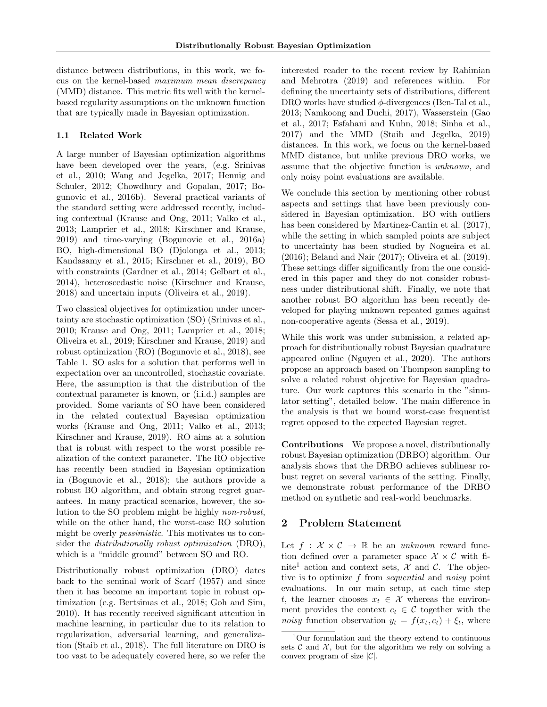distance between distributions, in this work, we focus on the kernel-based maximum mean discrepancy (MMD) distance. This metric fits well with the kernelbased regularity assumptions on the unknown function that are typically made in Bayesian optimization.

## 1.1 Related Work

A large number of Bayesian optimization algorithms have been developed over the years, (e.g. Srinivas et al., 2010; Wang and Jegelka, 2017; Hennig and Schuler, 2012; Chowdhury and Gopalan, 2017; Bogunovic et al., 2016b). Several practical variants of the standard setting were addressed recently, including contextual (Krause and Ong, 2011; Valko et al., 2013; Lamprier et al., 2018; Kirschner and Krause, 2019) and time-varying (Bogunovic et al., 2016a) BO, high-dimensional BO (Djolonga et al., 2013; Kandasamy et al., 2015; Kirschner et al., 2019), BO with constraints (Gardner et al., 2014; Gelbart et al., 2014), heteroscedastic noise (Kirschner and Krause, 2018) and uncertain inputs (Oliveira et al., 2019).

Two classical objectives for optimization under uncertainty are stochastic optimization (SO) (Srinivas et al., 2010; Krause and Ong, 2011; Lamprier et al., 2018; Oliveira et al., 2019; Kirschner and Krause, 2019) and robust optimization (RO) (Bogunovic et al., 2018), see Table 1. SO asks for a solution that performs well in expectation over an uncontrolled, stochastic covariate. Here, the assumption is that the distribution of the contextual parameter is known, or (i.i.d.) samples are provided. Some variants of SO have been considered in the related contextual Bayesian optimization works (Krause and Ong, 2011; Valko et al., 2013; Kirschner and Krause, 2019). RO aims at a solution that is robust with respect to the worst possible realization of the context parameter. The RO objective has recently been studied in Bayesian optimization in (Bogunovic et al., 2018); the authors provide a robust BO algorithm, and obtain strong regret guarantees. In many practical scenarios, however, the solution to the SO problem might be highly non-robust, while on the other hand, the worst-case RO solution might be overly *pessimistic*. This motivates us to consider the distributionally robust optimization (DRO), which is a "middle ground" between SO and RO.

Distributionally robust optimization (DRO) dates back to the seminal work of Scarf (1957) and since then it has become an important topic in robust optimization (e.g. Bertsimas et al., 2018; Goh and Sim, 2010). It has recently received significant attention in machine learning, in particular due to its relation to regularization, adversarial learning, and generalization (Staib et al., 2018). The full literature on DRO is too vast to be adequately covered here, so we refer the interested reader to the recent review by Rahimian and Mehrotra (2019) and references within. For defining the uncertainty sets of distributions, different DRO works have studied  $\phi$ -divergences (Ben-Tal et al., 2013; Namkoong and Duchi, 2017), Wasserstein (Gao et al., 2017; Esfahani and Kuhn, 2018; Sinha et al., 2017) and the MMD (Staib and Jegelka, 2019) distances. In this work, we focus on the kernel-based MMD distance, but unlike previous DRO works, we assume that the objective function is unknown, and only noisy point evaluations are available.

We conclude this section by mentioning other robust aspects and settings that have been previously considered in Bayesian optimization. BO with outliers has been considered by Martinez-Cantin et al. (2017), while the setting in which sampled points are subject to uncertainty has been studied by Nogueira et al. (2016); Beland and Nair (2017); Oliveira et al. (2019). These settings differ significantly from the one considered in this paper and they do not consider robustness under distributional shift. Finally, we note that another robust BO algorithm has been recently developed for playing unknown repeated games against non-cooperative agents (Sessa et al., 2019).

While this work was under submission, a related approach for distributionally robust Bayesian quadrature appeared online (Nguyen et al., 2020). The authors propose an approach based on Thompson sampling to solve a related robust objective for Bayesian quadrature. Our work captures this scenario in the "simulator setting", detailed below. The main difference in the analysis is that we bound worst-case frequentist regret opposed to the expected Bayesian regret.

Contributions We propose a novel, distributionally robust Bayesian optimization (DRBO) algorithm. Our analysis shows that the DRBO achieves sublinear robust regret on several variants of the setting. Finally, we demonstrate robust performance of the DRBO method on synthetic and real-world benchmarks.

# 2 Problem Statement

Let  $f : \mathcal{X} \times \mathcal{C} \rightarrow \mathbb{R}$  be an unknown reward function defined over a parameter space  $\mathcal{X} \times \mathcal{C}$  with finite<sup>1</sup> action and context sets,  $\mathcal{X}$  and  $\mathcal{C}$ . The objective is to optimize f from sequential and noisy point evaluations. In our main setup, at each time step t, the learner chooses  $x_t \in \mathcal{X}$  whereas the environment provides the context  $c_t \in \mathcal{C}$  together with the noisy function observation  $y_t = f(x_t, c_t) + \xi_t$ , where

<sup>1</sup>Our formulation and the theory extend to continuous sets  $\mathcal C$  and  $\mathcal X$ , but for the algorithm we rely on solving a convex program of size  $|\mathcal{C}|$ .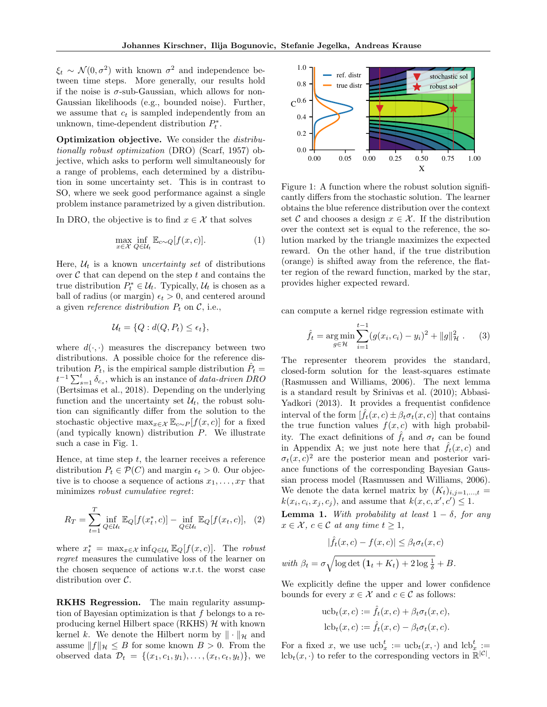$\xi_t \sim \mathcal{N}(0, \sigma^2)$  with known  $\sigma^2$  and independence between time steps. More generally, our results hold if the noise is  $\sigma$ -sub-Gaussian, which allows for non-Gaussian likelihoods (e.g., bounded noise). Further, we assume that  $c_t$  is sampled independently from an unknown, time-dependent distribution  $P_t^*$ .

Optimization objective. We consider the distributionally robust optimization (DRO) (Scarf, 1957) objective, which asks to perform well simultaneously for a range of problems, each determined by a distribution in some uncertainty set. This is in contrast to SO, where we seek good performance against a single problem instance parametrized by a given distribution.

In DRO, the objective is to find  $x \in \mathcal{X}$  that solves

$$
\max_{x \in \mathcal{X}} \inf_{Q \in \mathcal{U}_t} \mathbb{E}_{c \sim Q}[f(x, c)]. \tag{1}
$$

Here,  $\mathcal{U}_t$  is a known *uncertainty set* of distributions over  $\mathcal C$  that can depend on the step  $t$  and contains the true distribution  $P_t^* \in \mathcal{U}_t$ . Typically,  $\mathcal{U}_t$  is chosen as a ball of radius (or margin)  $\epsilon_t > 0$ , and centered around a given reference distribution  $P_t$  on  $\mathcal{C}$ , i.e.,

$$
\mathcal{U}_t = \{Q : d(Q, P_t) \le \epsilon_t\},\
$$

where  $d(\cdot, \cdot)$  measures the discrepancy between two distributions. A possible choice for the reference distribution  $P_t$ , is the empirical sample distribution  $\hat{P}_t =$  $t^{-1} \sum_{s=1}^{t} \delta_{cs}$ , which is an instance of *data-driven DRO* (Bertsimas et al., 2018). Depending on the underlying function and the uncertainty set  $\mathcal{U}_t$ , the robust solution can significantly differ from the solution to the stochastic objective max $_{x\in\mathcal{X}}\mathbb{E}_{c\sim P}[f(x,c)]$  for a fixed (and typically known) distribution P. We illustrate such a case in Fig. 1.

Hence, at time step  $t$ , the learner receives a reference distribution  $P_t \in \mathcal{P}(C)$  and margin  $\epsilon_t > 0$ . Our objective is to choose a sequence of actions  $x_1, \ldots, x_T$  that minimizes robust cumulative regret:

$$
R_T = \sum_{t=1}^T \inf_{Q \in \mathcal{U}_t} \mathbb{E}_Q[f(x_t^*, c)] - \inf_{Q \in \mathcal{U}_t} \mathbb{E}_Q[f(x_t, c)], \quad (2)
$$

where  $x_t^* = \max_{x \in \mathcal{X}} \inf_{Q \in \mathcal{U}_t} \mathbb{E}_Q[f(x, c)].$  The robust regret measures the cumulative loss of the learner on the chosen sequence of actions w.r.t. the worst case distribution over C.

RKHS Regression. The main regularity assumption of Bayesian optimization is that f belongs to a reproducing kernel Hilbert space (RKHS)  $H$  with known kernel k. We denote the Hilbert norm by  $\|\cdot\|_{\mathcal{H}}$  and assume  $||f||_{\mathcal{H}} \leq B$  for some known  $B > 0$ . From the observed data  $\mathcal{D}_t = \{(x_1, c_1, y_1), \ldots, (x_t, c_t, y_t)\},\$ we



Figure 1: A function where the robust solution significantly differs from the stochastic solution. The learner obtains the blue reference distribution over the context set C and chooses a design  $x \in \mathcal{X}$ . If the distribution over the context set is equal to the reference, the solution marked by the triangle maximizes the expected reward. On the other hand, if the true distribution (orange) is shifted away from the reference, the flatter region of the reward function, marked by the star, provides higher expected reward.

can compute a kernel ridge regression estimate with

$$
\hat{f}_t = \underset{g \in \mathcal{H}}{\arg \min} \sum_{i=1}^{t-1} (g(x_i, c_i) - y_i)^2 + ||g||_{\mathcal{H}}^2. \qquad (3)
$$

The representer theorem provides the standard, closed-form solution for the least-squares estimate (Rasmussen and Williams, 2006). The next lemma is a standard result by Srinivas et al. (2010); Abbasi-Yadkori (2013). It provides a frequentist confidence interval of the form  $[f_t(x, c) \pm \beta_t \sigma_t(x, c)]$  that contains the true function values  $f(x, c)$  with high probability. The exact definitions of  $\hat{f}_t$  and  $\sigma_t$  can be found in Appendix A; we just note here that  $\hat{f}_t(x, c)$  and  $\sigma_t(x,c)^2$  are the posterior mean and posterior variance functions of the corresponding Bayesian Gaussian process model (Rasmussen and Williams, 2006). We denote the data kernel matrix by  $(K_t)_{i,j=1,\ldots,t}$  =  $k(x_i, c_i, x_j, c_j)$ , and assume that  $k(x, c, x', c') \leq 1$ .

**Lemma 1.** With probability at least  $1 - \delta$ , for any  $x \in \mathcal{X}, c \in \mathcal{C}$  at any time  $t \geq 1$ ,

$$
|\hat{f}_t(x, c) - f(x, c)| \le \beta_t \sigma_t(x, c)
$$
  
with  $\beta_t = \sigma \sqrt{\log \det (1_t + K_t) + 2 \log \frac{1}{\delta}} + B.$ 

We explicitly define the upper and lower confidence bounds for every  $x \in \mathcal{X}$  and  $c \in \mathcal{C}$  as follows:

$$
\begin{aligned} \text{ucb}_t(x,c) &:= \hat{f}_t(x,c) + \beta_t \sigma_t(x,c), \\ \text{lcb}_t(x,c) &:= \hat{f}_t(x,c) - \beta_t \sigma_t(x,c). \end{aligned}
$$

For a fixed x, we use  $\mathrm{ucb}_x^t := \mathrm{ucb}_t(x, \cdot)$  and  $\mathrm{lcb}_x^t :=$  $lcb_t(x, \cdot)$  to refer to the corresponding vectors in  $\mathbb{R}^{|\mathcal{C}|}$ .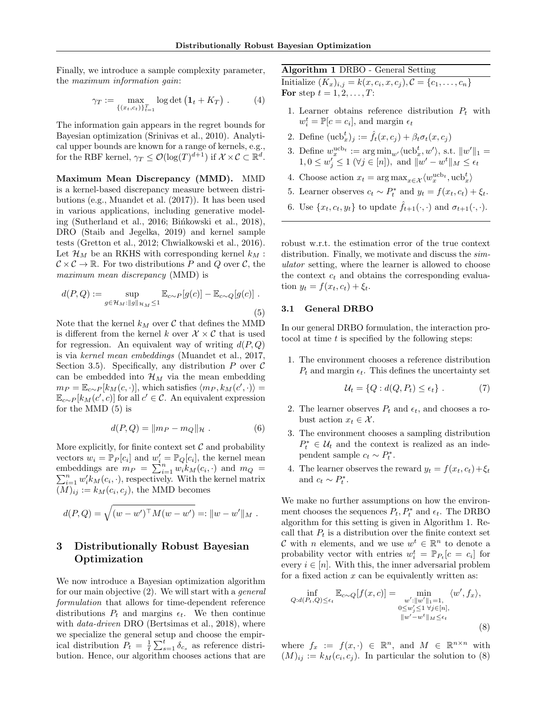Finally, we introduce a sample complexity parameter, the maximum information gain:

$$
\gamma_T := \max_{\{(x_t, c_t)\}_{t=1}^T} \log \det (\mathbf{1}_t + K_T) . \tag{4}
$$

The information gain appears in the regret bounds for Bayesian optimization (Srinivas et al., 2010). Analytical upper bounds are known for a range of kernels, e.g., for the RBF kernel,  $\gamma_T \leq \mathcal{O}(\log(T)^{d+1})$  if  $\mathcal{X} \times \mathcal{C} \subset \mathbb{R}^d$ .

Maximum Mean Discrepancy (MMD). MMD is a kernel-based discrepancy measure between distributions (e.g., Muandet et al. (2017)). It has been used in various applications, including generative modeling (Sutherland et al., 2016; Binkowski et al., 2018), DRO (Staib and Jegelka, 2019) and kernel sample tests (Gretton et al., 2012; Chwialkowski et al., 2016). Let  $\mathcal{H}_M$  be an RKHS with corresponding kernel  $k_M$ :  $C \times C \rightarrow \mathbb{R}$ . For two distributions P and Q over C, the maximum mean discrepancy (MMD) is

$$
d(P,Q) := \sup_{g \in \mathcal{H}_M: ||g||_{\mathcal{H}_M} \le 1} \mathbb{E}_{c \sim P}[g(c)] - \mathbb{E}_{c \sim Q}[g(c)] .
$$
\n(5)

Note that the kernel  $k_M$  over  $\mathcal C$  that defines the MMD is different from the kernel k over  $\mathcal{X} \times \mathcal{C}$  that is used for regression. An equivalent way of writing  $d(P,Q)$ is via kernel mean embeddings (Muandet et al., 2017, Section 3.5). Specifically, any distribution  $P$  over  $\mathcal C$ can be embedded into  $\mathcal{H}_M$  via the mean embedding  $m_P = \mathbb{E}_{c \sim P}[k_M(c, \cdot)],$  which satisfies  $\langle m_P, k_M(c', \cdot) \rangle =$  $\mathbb{E}_{c\sim P}[k_M(c',c)]$  for all  $c' \in \mathcal{C}$ . An equivalent expression for the MMD (5) is

$$
d(P,Q) = \|m_P - m_Q\|_{\mathcal{H}} .
$$
 (6)

More explicitly, for finite context set  $\mathcal C$  and probability vectors  $w_i = \mathbb{P}_P[c_i]$  and  $w'_i = \mathbb{P}_Q[c_i]$ , the kernel mean embeddings are  $m_P = \sum_{i=1}^n w_i k_M(c_i, \cdot)$  and  $m_Q = \sum_{i=1}^n w_i k_M(c_i, \cdot)$ , respectively. With the kernel matrix  $\sum_{i=1}^n w'_i k_M(c_i, \cdot)$ , respectively. With the kernel matrix  $(M)_{ij} := k_M(c_i, c_j)$ , the MMD becomes

$$
d(P,Q) = \sqrt{(w - w')^{\top} M (w - w')} =: ||w - w'||_M.
$$

## 3 Distributionally Robust Bayesian Optimization

We now introduce a Bayesian optimization algorithm for our main objective (2). We will start with a general formulation that allows for time-dependent reference distributions  $P_t$  and margins  $\epsilon_t$ . We then continue with *data-driven* DRO (Bertsimas et al., 2018), where we specialize the general setup and choose the empirical distribution  $P_t = \frac{1}{t} \sum_{s=1}^t \delta_{c_s}$  as reference distribution. Hence, our algorithm chooses actions that are

## Algorithm 1 DRBO - General Setting

Initialize  $(K_x)_{i,j} = k(x, c_i, x, c_j), C = \{c_1, \ldots, c_n\}$ For step  $t = 1, 2, \ldots, T$ :

- 1. Learner obtains reference distribution  $P_t$  with  $w_i^t = \mathbb{P}[c = c_i]$ , and margin  $\epsilon_t$
- 2. Define  $(\mathrm{ucb}_x^t)_j := \hat{f}_t(x, c_j) + \beta_t \sigma_t(x, c_j)$
- 3. Define  $w_x^{\text{ucb}_t} := \arg \min_{w'} \langle \text{ucb}_x^t, w' \rangle$ , s.t.  $||w'||_1 =$  $1, 0 \leq w'_j \leq 1 \ (\forall j \in [n]), \text{ and } ||w'-w^t||_M \leq \epsilon_t$
- 4. Choose action  $x_t = \arg \max_{x \in \mathcal{X}} \langle w_x^{\text{ucb}_t}, \text{ucb}_x^t \rangle$
- 5. Learner observes  $c_t \sim P_t^*$  and  $y_t = f(x_t, c_t) + \xi_t$ .
- 6. Use  $\{x_t, c_t, y_t\}$  to update  $\hat{f}_{t+1}(\cdot, \cdot)$  and  $\sigma_{t+1}(\cdot, \cdot)$ .

robust w.r.t. the estimation error of the true context distribution. Finally, we motivate and discuss the  $sim$ ulator setting, where the learner is allowed to choose the context  $c_t$  and obtains the corresponding evaluation  $y_t = f(x_t, c_t) + \xi_t$ .

## 3.1 General DRBO

In our general DRBO formulation, the interaction protocol at time  $t$  is specified by the following steps:

1. The environment chooses a reference distribution  $P_t$  and margin  $\epsilon_t$ . This defines the uncertainty set

$$
\mathcal{U}_t = \{Q : d(Q, P_t) \le \epsilon_t\} . \tag{7}
$$

- 2. The learner observes  $P_t$  and  $\epsilon_t$ , and chooses a robust action  $x_t \in \mathcal{X}$ .
- 3. The environment chooses a sampling distribution  $P_t^* \in \mathcal{U}_t$  and the context is realized as an independent sample  $c_t \sim P_t^*$ .
- 4. The learner observes the reward  $y_t = f(x_t, c_t) + \xi_t$ and  $c_t \sim P_t^*$ .

We make no further assumptions on how the environment chooses the sequences  $P_t, P_t^*$  and  $\epsilon_t$ . The DRBO algorithm for this setting is given in Algorithm 1. Recall that  $P_t$  is a distribution over the finite context set C with n elements, and we use  $w^t \in \mathbb{R}^n$  to denote a probability vector with entries  $w_i^t = \mathbb{P}_{P_t}[c = c_i]$  for every  $i \in [n]$ . With this, the inner adversarial problem for a fixed action  $x$  can be equivalently written as:

$$
\inf_{Q:d(P_t,Q)\leq\epsilon_t} \mathbb{E}_{c\sim Q}[f(x,c)] = \min_{\substack{w':\|w'\|_1=1,\\0\leq w'_j\leq 1 \,\forall j\in [n],\\ \|w'-w^t\|_M\leq\epsilon_t}} \langle w', f_x\rangle,
$$
\n
$$
(8)
$$

where  $f_x := f(x, \cdot) \in \mathbb{R}^n$ , and  $M \in \mathbb{R}^{n \times n}$  with  $(M)_{ij} := k_M(c_i, c_j)$ . In particular the solution to (8)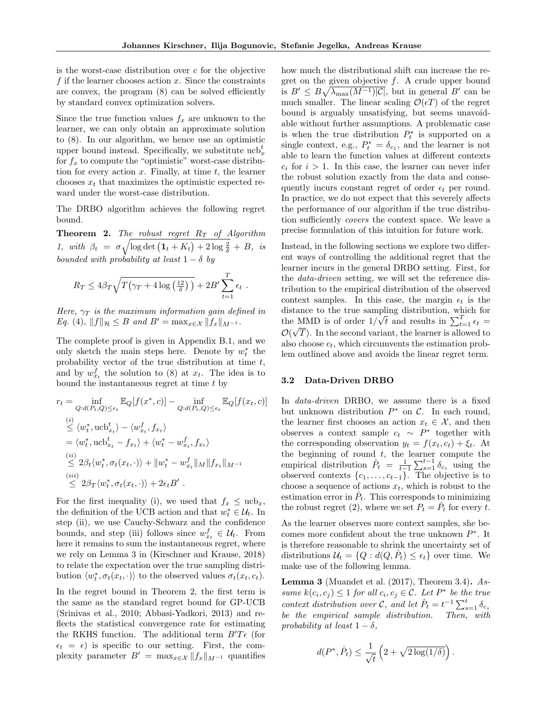is the worst-case distribution over  $c$  for the objective f if the learner chooses action  $x$ . Since the constraints are convex, the program (8) can be solved efficiently by standard convex optimization solvers.

Since the true function values  $f_x$  are unknown to the learner, we can only obtain an approximate solution to (8). In our algorithm, we hence use an optimistic upper bound instead. Specifically, we substitute  $\mathrm{ucb}_x^t$ for  $f_x$  to compute the "optimistic" worst-case distribution for every action  $x$ . Finally, at time  $t$ , the learner chooses  $x_t$  that maximizes the optimistic expected reward under the worst-case distribution.

The DRBO algorithm achieves the following regret bound.

**Theorem 2.** The robust regret  $R_T$  of Algorithm 1, with  $\beta_t = \sigma \sqrt{\log \det (1_t + K_t) + 2 \log \frac{2}{\delta}} + B$ , is bounded with probability at least  $1 - \delta$  by

$$
R_T \le 4\beta_T \sqrt{T(\gamma_T + 4\log\left(\frac{12}{\delta}\right))} + 2B' \sum_{t=1}^T \epsilon_t.
$$

Here,  $\gamma_T$  is the maximum information gain defined in Eq. (4),  $||f||_{\mathcal{H}} \leq B$  and  $B' = \max_{x \in \mathcal{X}} ||f_x||_{M^{-1}}$ .

The complete proof is given in Appendix B.1, and we only sketch the main steps here. Denote by  $w_t^*$  the probability vector of the true distribution at time t, and by  $w_{x_t}^f$  the solution to (8) at  $x_t$ . The idea is to bound the instantaneous regret at time  $t$  by

$$
r_t = \inf_{Q:d(P_t,Q) \leq \epsilon_t} \mathbb{E}_Q[f(x^*,c)] - \inf_{Q:d(P_t,Q) \leq \epsilon_t} \mathbb{E}_Q[f(x_t,c)]
$$
  
\n
$$
\stackrel{(i)}{\leq} \langle w_t^*, \operatorname{ucb}_{x_t}^t \rangle - \langle w_{x_t}^f, f_{x_t} \rangle
$$
  
\n
$$
= \langle w_t^*, \operatorname{ucb}_{x_t}^t - f_{x_t} \rangle + \langle w_t^* - w_{x_t}^f, f_{x_t} \rangle
$$
  
\n
$$
\stackrel{(ii)}{\leq} 2\beta_t \langle w_t^*, \sigma_t(x_t, \cdot) \rangle + ||w_t^* - w_{x_t}^f||_M ||f_{x_t}||_{M^{-1}}
$$
  
\n
$$
\stackrel{(iii)}{\leq} 2\beta_T \langle w_t^*, \sigma_t(x_t, \cdot) \rangle + 2\epsilon_t B'.
$$

For the first inequality (i), we used that  $f_x \leq ucb_x$ , the definition of the UCB action and that  $w_t^* \in \mathcal{U}_t$ . In step (ii), we use Cauchy-Schwarz and the confidence bounds, and step (iii) follows since  $w_{x_t}^f \in \mathcal{U}_t$ . From here it remains to sum the instantaneous regret, where we rely on Lemma 3 in (Kirschner and Krause, 2018) to relate the expectation over the true sampling distribution  $\langle w_t^*, \sigma_t(x_t, \cdot) \rangle$  to the observed values  $\sigma_t(x_t, c_t)$ .

In the regret bound in Theorem 2, the first term is the same as the standard regret bound for GP-UCB (Srinivas et al., 2010; Abbasi-Yadkori, 2013) and reflects the statistical convergence rate for estimating the RKHS function. The additional term  $B'T\epsilon$  (for  $\epsilon_t = \epsilon$ ) is specific to our setting. First, the complexity parameter  $B' = \max_{x \in \mathcal{X}} ||f_x||_{M^{-1}}$  quantifies how much the distributional shift can increase the regret on the given objective  $f$ . A crude upper bound is  $B' \leq B \sqrt{\lambda_{\max}(M^{-1})|\mathcal{C}|}$ , but in general  $B'$  can be much smaller. The linear scaling  $\mathcal{O}(\epsilon T)$  of the regret bound is arguably unsatisfying, but seems unavoidable without further assumptions. A problematic case is when the true distribution  $P_t^*$  is supported on a single context, e.g.,  $P_t^* = \delta_{c_1}$ , and the learner is not able to learn the function values at different contexts  $c_i$  for  $i > 1$ . In this case, the learner can never infer the robust solution exactly from the data and consequently incurs constant regret of order  $\epsilon_t$  per round. In practice, we do not expect that this severely affects the performance of our algorithm if the true distribution sufficiently covers the context space. We leave a precise formulation of this intuition for future work.

Instead, in the following sections we explore two different ways of controlling the additional regret that the learner incurs in the general DRBO setting. First, for the data-driven setting, we will set the reference distribution to the empirical distribution of the observed context samples. In this case, the margin  $\epsilon_t$  is the distance to the true sampling distribution, which for the MMD is of order 1/ tance to the true sampling distribution, which for<br>  $\sum_{t=1}^{T} \epsilon_t =$  $\mathcal{O}(\sqrt{T})$ . In the second variant, the learner is allowed to also choose  $c_t$ , which circumvents the estimation problem outlined above and avoids the linear regret term.

#### 3.2 Data-Driven DRBO

In data-driven DRBO, we assume there is a fixed but unknown distribution  $P^*$  on  $\mathcal{C}$ . In each round, the learner first chooses an action  $x_t \in \mathcal{X}$ , and then observes a context sample  $c_t \sim P^*$  together with the corresponding observation  $y_t = f(x_t, c_t) + \xi_t$ . At the beginning of round  $t$ , the learner compute the empirical distribution  $\hat{P}_t = \frac{1}{t-1} \sum_{s=1}^{t-1} \delta_{c_s}$  using the observed contexts  $\{c_1, \ldots, c_{t-1}\}$ . The objective is to choose a sequence of actions  $x_t$ , which is robust to the estimation error in  $\hat{P}_t$ . This corresponds to minimizing the robust regret (2), where we set  $P_t = \hat{P}_t$  for every  $\hat{t}$ .

As the learner observes more context samples, she becomes more confident about the true unknown  $P^*$ . It is therefore reasonable to shrink the uncertainty set of distributions  $\mathcal{U}_t = \{Q : d(Q, \hat{P}_t) \le \epsilon_t\}$  over time. We make use of the following lemma.

**Lemma 3** (Muandet et al.  $(2017)$ , Theorem 3.4). Assume  $k(c_i, c_j) \leq 1$  for all  $c_i, c_j \in \mathcal{C}$ . Let  $P^*$  be the true context distribution over C, and let  $\hat{P}_t = t^{-1} \sum_{s=1}^t \delta_{c_s}$ be the empirical sample distribution. Then, with probability at least  $1 - \delta$ ,

$$
d(P^*, \hat{P}_t) \leq \frac{1}{\sqrt{t}} \left( 2 + \sqrt{2 \log(1/\delta)} \right)
$$

.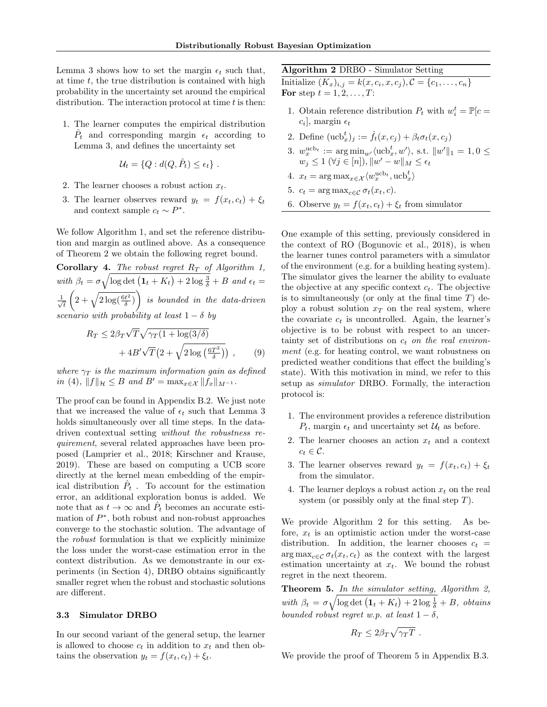Lemma 3 shows how to set the margin  $\epsilon_t$  such that, at time  $t$ , the true distribution is contained with high probability in the uncertainty set around the empirical distribution. The interaction protocol at time  $t$  is then:

1. The learner computes the empirical distribution  $\hat{P}_t$  and corresponding margin  $\epsilon_t$  according to Lemma 3, and defines the uncertainty set

$$
\mathcal{U}_t = \{Q : d(Q, \hat{P}_t) \le \epsilon_t\} .
$$

- 2. The learner chooses a robust action  $x_t$ .
- 3. The learner observes reward  $y_t = f(x_t, c_t) + \xi_t$ and context sample  $c_t \sim P^*$ .

We follow Algorithm 1, and set the reference distribution and margin as outlined above. As a consequence of Theorem 2 we obtain the following regret bound.

**Corollary 4.** The robust regret  $R_T$  of Algorithm 1, with  $\beta_t = \sigma \sqrt{\log \det (1_t + K_t) + 2 \log \frac{3}{\delta}} + B$  and  $\epsilon_t =$  $\frac{1}{\sqrt{2}}$ t  $\left(2+\sqrt{2\log(\frac{6t^2}{\delta})}\right)$  is bounded in the data-driven scenario with probability at least  $1 - \delta$  by

$$
R_T \le 2\beta_T \sqrt{T} \sqrt{\gamma_T (1 + \log(3/\delta))} + 4B' \sqrt{T} \left(2 + \sqrt{2 \log\left(\frac{6T^2}{\delta}\right)}\right) ,\qquad(9)
$$

where  $\gamma_T$  is the maximum information gain as defined in (4),  $||f||_{\mathcal{H}} \leq B$  and  $B' = \max_{x \in \mathcal{X}} ||f_x||_{M^{-1}}$ .

The proof can be found in Appendix B.2. We just note that we increased the value of  $\epsilon_t$  such that Lemma 3 holds simultaneously over all time steps. In the datadriven contextual setting without the robustness requirement, several related approaches have been proposed (Lamprier et al., 2018; Kirschner and Krause, 2019). These are based on computing a UCB score directly at the kernel mean embedding of the empirical distribution  $\hat{P}_t$ . To account for the estimation error, an additional exploration bonus is added. We note that as  $t \to \infty$  and  $\hat{P}_t$  becomes an accurate estimation of  $P^*$ , both robust and non-robust approaches converge to the stochastic solution. The advantage of the robust formulation is that we explicitly minimize the loss under the worst-case estimation error in the context distribution. As we demonstrante in our experiments (in Section 4), DRBO obtains significantly smaller regret when the robust and stochastic solutions are different.

#### 3.3 Simulator DRBO

In our second variant of the general setup, the learner is allowed to choose  $c_t$  in addition to  $x_t$  and then obtains the observation  $y_t = f(x_t, c_t) + \xi_t$ .

## Algorithm 2 DRBO - Simulator Setting

Initialize  $(K_x)_{i,j} = k(x, c_i, x, c_j), C = \{c_1, \ldots, c_n\}$ For step  $t = 1, 2, \ldots, T$ :

- 1. Obtain reference distribution  $P_t$  with  $w_i^t = \mathbb{P}[c =$  $c_i$ , margin  $\epsilon_t$
- 2. Define  $(\mathrm{ucb}_x^t)_j := \hat{f}_t(x, c_j) + \beta_t \sigma_t(x, c_j)$
- 3.  $w_x^{\text{ucb}_t} := \arg \min_{w'} \langle \text{ucb}_x^t, w' \rangle$ , s.t.  $||w'||_1 = 1, 0 \le$  $w_j \leq 1 \ (\forall j \in [n]), \|w' - w\|_M \leq \epsilon_t$
- 4.  $x_t = \arg \max_{x \in \mathcal{X}} \langle w_x^{\text{ucb}_t}, \text{ucb}_x^t \rangle$
- 5.  $c_t = \arg \max_{c \in \mathcal{C}} \sigma_t(x_t, c)$ .
- 6. Observe  $y_t = f(x_t, c_t) + \xi_t$  from simulator

One example of this setting, previously considered in the context of RO (Bogunovic et al., 2018), is when the learner tunes control parameters with a simulator of the environment (e.g. for a building heating system). The simulator gives the learner the ability to evaluate the objective at any specific context  $c_t$ . The objective is to simultaneously (or only at the final time  $T$ ) deploy a robust solution  $x_T$  on the real system, where the covariate  $c_t$  is uncontrolled. Again, the learner's objective is to be robust with respect to an uncertainty set of distributions on  $c_t$  on the real environment (e.g. for heating control, we want robustness on predicted weather conditions that effect the building's state). With this motivation in mind, we refer to this setup as simulator DRBO. Formally, the interaction protocol is:

- 1. The environment provides a reference distribution  $P_t$ , margin  $\epsilon_t$  and uncertainty set  $\mathcal{U}_t$  as before.
- 2. The learner chooses an action  $x_t$  and a context  $c_t \in \mathcal{C}$ .
- 3. The learner observes reward  $y_t = f(x_t, c_t) + \xi_t$ from the simulator.
- 4. The learner deploys a robust action  $x_t$  on the real system (or possibly only at the final step  $T$ ).

We provide Algorithm 2 for this setting. As before,  $x_t$  is an optimistic action under the worst-case distribution. In addition, the learner chooses  $c_t$  =  $\arg \max_{c \in \mathcal{C}} \sigma_t(x_t, c_t)$  as the context with the largest estimation uncertainty at  $x_t$ . We bound the robust regret in the next theorem.

Theorem 5. In the simulator setting, Algorithm 2, with  $\beta_t = \sigma \sqrt{\log \det (1_t + K_t) + 2 \log \frac{1}{\delta}} + B$ , obtains bounded robust regret w.p. at least  $1 - \delta$ ,

$$
R_T \leq 2\beta_T \sqrt{\gamma_T T} \; .
$$

We provide the proof of Theorem 5 in Appendix B.3.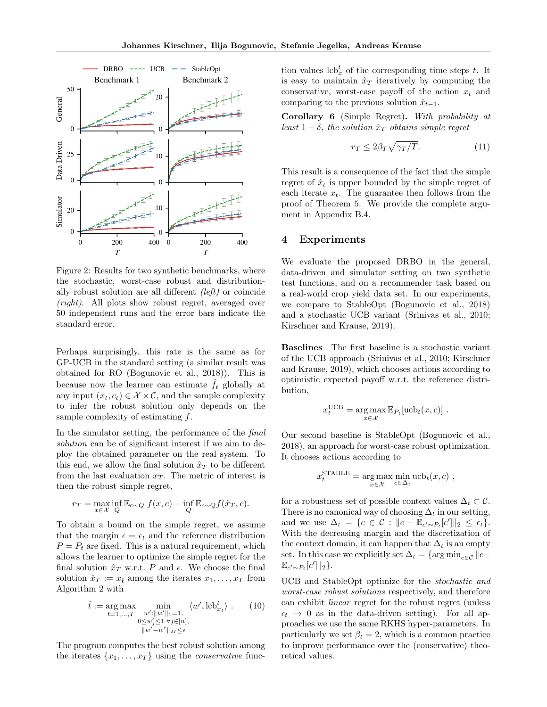

Figure 2: Results for two synthetic benchmarks, where the stochastic, worst-case robust and distributionally robust solution are all different (left) or coincide (right). All plots show robust regret, averaged over 50 independent runs and the error bars indicate the standard error.

Perhaps surprisingly, this rate is the same as for GP-UCB in the standard setting (a similar result was obtained for RO (Bogunovic et al., 2018)). This is because now the learner can estimate  $\hat{f}_t$  globally at any input  $(x_t, c_t) \in \mathcal{X} \times \mathcal{C}$ , and the sample complexity to infer the robust solution only depends on the sample complexity of estimating f.

In the simulator setting, the performance of the final solution can be of significant interest if we aim to deploy the obtained parameter on the real system. To this end, we allow the final solution  $\hat{x}_T$  to be different from the last evaluation  $x_T$ . The metric of interest is then the robust simple regret,

$$
r_T = \max_{x \in \mathcal{X}} \inf_Q \mathbb{E}_{c \sim Q} f(x, c) - \inf_Q \mathbb{E}_{c \sim Q} f(\hat{x}_T, c).
$$

To obtain a bound on the simple regret, we assume that the margin  $\epsilon = \epsilon_t$  and the reference distribution  $P = P_t$  are fixed. This is a natural requirement, which allows the learner to optimize the simple regret for the final solution  $\hat{x}_T$  w.r.t. P and  $\epsilon$ . We choose the final solution  $\hat{x}_T := x_{\hat{t}}$  among the iterates  $x_1, \ldots, x_T$  from Algorithm 2 with

$$
\hat{t} := \underset{t=1,\ldots,T}{\arg\max} \min_{\substack{w': \|w'\|_1=1,\\0\le w'_j\le 1 \,\,\forall j\in [n],\\ \|w'-w^t\|_M\le \epsilon}} \langle w', \text{lcb}^t_{x_t} \rangle . \tag{10}
$$

The program computes the best robust solution among the iterates  $\{x_1, \ldots, x_T\}$  using the *conservative* func-

tion values  $\mathrm{lcb}_{x}^{t}$  of the corresponding time steps t. It is easy to maintain  $\hat{x}_T$  iteratively by computing the conservative, worst-case payoff of the action  $x_t$  and comparing to the previous solution  $\hat{x}_{t-1}$ .

Corollary 6 (Simple Regret). With probability at least  $1 - \delta$ , the solution  $\hat{x}_T$  obtains simple regret

$$
r_T \le 2\beta_T \sqrt{\gamma_T/T}.\tag{11}
$$

This result is a consequence of the fact that the simple regret of  $\hat{x}_t$  is upper bounded by the simple regret of each iterate  $x_t$ . The guarantee then follows from the proof of Theorem 5. We provide the complete argument in Appendix B.4.

## 4 Experiments

We evaluate the proposed DRBO in the general, data-driven and simulator setting on two synthetic test functions, and on a recommender task based on a real-world crop yield data set. In our experiments, we compare to StableOpt (Bogunovic et al., 2018) and a stochastic UCB variant (Srinivas et al., 2010; Kirschner and Krause, 2019).

Baselines The first baseline is a stochastic variant of the UCB approach (Srinivas et al., 2010; Kirschner and Krause, 2019), which chooses actions according to optimistic expected payoff w.r.t. the reference distribution,

$$
x_t^{\text{UCB}} = \underset{x \in \mathcal{X}}{\arg \max} \mathbb{E}_{P_t}[\text{ucb}_t(x, c)] .
$$

Our second baseline is StableOpt (Bogunovic et al., 2018), an approach for worst-case robust optimization. It chooses actions according to

$$
x_t^{\text{STABLE}} = \underset{x \in \mathcal{X}}{\text{arg max}} \min_{c \in \Delta_t} \text{ucb}_t(x, c) ,
$$

for a robustness set of possible context values  $\Delta_t \subset \mathcal{C}$ . There is no canonical way of choosing  $\Delta_t$  in our setting, and we use  $\Delta_t = \{c \in \mathcal{C} : ||c - \mathbb{E}_{c' \sim P_t}[c']||_2 \leq \epsilon_t\}.$ With the decreasing margin and the discretization of the context domain, it can happen that  $\Delta_t$  is an empty set. In this case we explicitly set  $\Delta_t = \{ \arg \min_{c \in \mathcal{C}} || c \mathbb{E}_{c'\sim P_t}[c']\|_2\}.$ 

UCB and StableOpt optimize for the stochastic and worst-case robust solutions respectively, and therefore can exhibit linear regret for the robust regret (unless  $\epsilon_t \rightarrow 0$  as in the data-driven setting). For all approaches we use the same RKHS hyper-parameters. In particularly we set  $\beta_t = 2$ , which is a common practice to improve performance over the (conservative) theoretical values.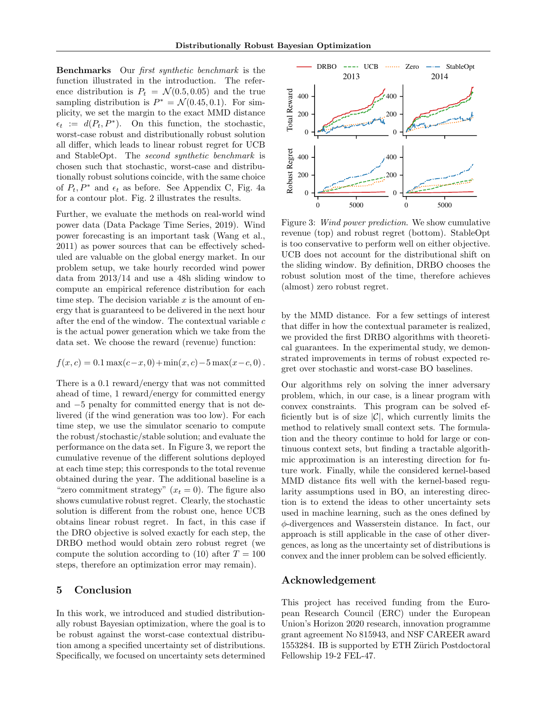Benchmarks Our first synthetic benchmark is the function illustrated in the introduction. The reference distribution is  $P_t = \mathcal{N}(0.5, 0.05)$  and the true sampling distribution is  $P^* = \mathcal{N}(0.45, 0.1)$ . For simplicity, we set the margin to the exact MMD distance  $\epsilon_t := d(P_t, P^*)$ . On this function, the stochastic, worst-case robust and distributionally robust solution all differ, which leads to linear robust regret for UCB and StableOpt. The second synthetic benchmark is chosen such that stochastic, worst-case and distributionally robust solutions coincide, with the same choice of  $P_t$ ,  $P^*$  and  $\epsilon_t$  as before. See Appendix C, Fig. 4a for a contour plot. Fig. 2 illustrates the results.

Further, we evaluate the methods on real-world wind power data (Data Package Time Series, 2019). Wind power forecasting is an important task (Wang et al., 2011) as power sources that can be effectively scheduled are valuable on the global energy market. In our problem setup, we take hourly recorded wind power data from 2013/14 and use a 48h sliding window to compute an empirical reference distribution for each time step. The decision variable  $x$  is the amount of energy that is guaranteed to be delivered in the next hour after the end of the window. The contextual variable  $c$ is the actual power generation which we take from the data set. We choose the reward (revenue) function:

$$
f(x, c) = 0.1 \max(c - x, 0) + \min(x, c) - 5 \max(x - c, 0).
$$

There is a 0.1 reward/energy that was not committed ahead of time, 1 reward/energy for committed energy and −5 penalty for committed energy that is not delivered (if the wind generation was too low). For each time step, we use the simulator scenario to compute the robust/stochastic/stable solution; and evaluate the performance on the data set. In Figure 3, we report the cumulative revenue of the different solutions deployed at each time step; this corresponds to the total revenue obtained during the year. The additional baseline is a "zero commitment strategy"  $(x_t = 0)$ . The figure also shows cumulative robust regret. Clearly, the stochastic solution is different from the robust one, hence UCB obtains linear robust regret. In fact, in this case if the DRO objective is solved exactly for each step, the DRBO method would obtain zero robust regret (we compute the solution according to (10) after  $T = 100$ steps, therefore an optimization error may remain).

## 5 Conclusion

In this work, we introduced and studied distributionally robust Bayesian optimization, where the goal is to be robust against the worst-case contextual distribution among a specified uncertainty set of distributions. Specifically, we focused on uncertainty sets determined



Figure 3: Wind power prediction. We show cumulative revenue (top) and robust regret (bottom). StableOpt is too conservative to perform well on either objective. UCB does not account for the distributional shift on the sliding window. By definition, DRBO chooses the robust solution most of the time, therefore achieves (almost) zero robust regret.

by the MMD distance. For a few settings of interest that differ in how the contextual parameter is realized, we provided the first DRBO algorithms with theoretical guarantees. In the experimental study, we demonstrated improvements in terms of robust expected regret over stochastic and worst-case BO baselines.

Our algorithms rely on solving the inner adversary problem, which, in our case, is a linear program with convex constraints. This program can be solved efficiently but is of size  $|\mathcal{C}|$ , which currently limits the method to relatively small context sets. The formulation and the theory continue to hold for large or continuous context sets, but finding a tractable algorithmic approximation is an interesting direction for future work. Finally, while the considered kernel-based MMD distance fits well with the kernel-based regularity assumptions used in BO, an interesting direction is to extend the ideas to other uncertainty sets used in machine learning, such as the ones defined by φ-divergences and Wasserstein distance. In fact, our approach is still applicable in the case of other divergences, as long as the uncertainty set of distributions is convex and the inner problem can be solved efficiently.

## Acknowledgement

This project has received funding from the European Research Council (ERC) under the European Union's Horizon 2020 research, innovation programme grant agreement No 815943, and NSF CAREER award 1553284. IB is supported by ETH Zürich Postdoctoral Fellowship 19-2 FEL-47.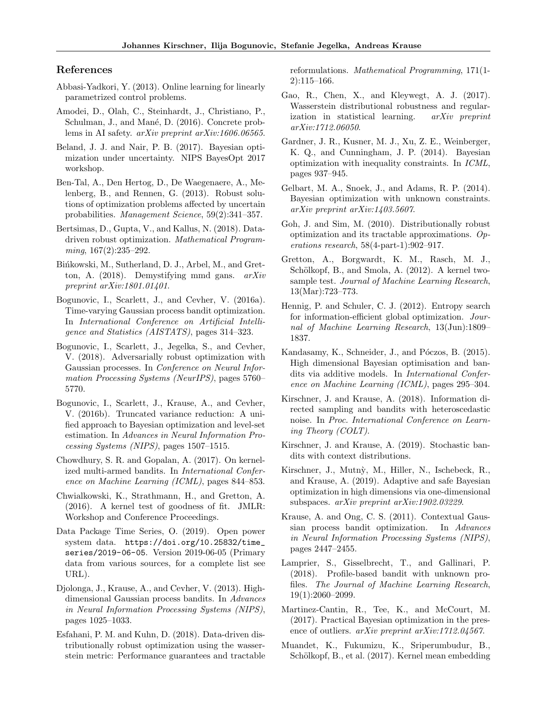## References

- Abbasi-Yadkori, Y. (2013). Online learning for linearly parametrized control problems.
- Amodei, D., Olah, C., Steinhardt, J., Christiano, P., Schulman, J., and Mané, D. (2016). Concrete problems in AI safety. arXiv preprint arXiv:1606.06565.
- Beland, J. J. and Nair, P. B. (2017). Bayesian optimization under uncertainty. NIPS BayesOpt 2017 workshop.
- Ben-Tal, A., Den Hertog, D., De Waegenaere, A., Melenberg, B., and Rennen, G. (2013). Robust solutions of optimization problems affected by uncertain probabilities. Management Science, 59(2):341–357.
- Bertsimas, D., Gupta, V., and Kallus, N. (2018). Datadriven robust optimization. Mathematical Programming, 167(2):235–292.
- Bińkowski, M., Sutherland, D. J., Arbel, M., and Gretton, A. (2018). Demystifying mmd gans. arXiv preprint arXiv:1801.01401.
- Bogunovic, I., Scarlett, J., and Cevher, V. (2016a). Time-varying Gaussian process bandit optimization. In International Conference on Artificial Intelligence and Statistics (AISTATS), pages 314–323.
- Bogunovic, I., Scarlett, J., Jegelka, S., and Cevher, V. (2018). Adversarially robust optimization with Gaussian processes. In Conference on Neural Information Processing Systems (NeurIPS), pages 5760– 5770.
- Bogunovic, I., Scarlett, J., Krause, A., and Cevher, V. (2016b). Truncated variance reduction: A unified approach to Bayesian optimization and level-set estimation. In Advances in Neural Information Processing Systems (NIPS), pages 1507–1515.
- Chowdhury, S. R. and Gopalan, A. (2017). On kernelized multi-armed bandits. In International Conference on Machine Learning (ICML), pages 844–853.
- Chwialkowski, K., Strathmann, H., and Gretton, A. (2016). A kernel test of goodness of fit. JMLR: Workshop and Conference Proceedings.
- Data Package Time Series, O. (2019). Open power system data. https://doi.org/10.25832/time\_ series/2019-06-05. Version 2019-06-05 (Primary data from various sources, for a complete list see URL).
- Djolonga, J., Krause, A., and Cevher, V. (2013). Highdimensional Gaussian process bandits. In Advances in Neural Information Processing Systems (NIPS), pages 1025–1033.
- Esfahani, P. M. and Kuhn, D. (2018). Data-driven distributionally robust optimization using the wasserstein metric: Performance guarantees and tractable

reformulations. Mathematical Programming, 171(1- 2):115–166.

- Gao, R., Chen, X., and Kleywegt, A. J. (2017). Wasserstein distributional robustness and regularization in statistical learning. arXiv preprint arXiv:1712.06050.
- Gardner, J. R., Kusner, M. J., Xu, Z. E., Weinberger, K. Q., and Cunningham, J. P. (2014). Bayesian optimization with inequality constraints. In ICML, pages 937–945.
- Gelbart, M. A., Snoek, J., and Adams, R. P. (2014). Bayesian optimization with unknown constraints. arXiv preprint arXiv:1403.5607.
- Goh, J. and Sim, M. (2010). Distributionally robust optimization and its tractable approximations.  $Op$ erations research, 58(4-part-1):902–917.
- Gretton, A., Borgwardt, K. M., Rasch, M. J., Schölkopf, B., and Smola, A. (2012). A kernel twosample test. Journal of Machine Learning Research, 13(Mar):723–773.
- Hennig, P. and Schuler, C. J. (2012). Entropy search for information-efficient global optimization. Journal of Machine Learning Research, 13(Jun):1809– 1837.
- Kandasamy, K., Schneider, J., and Póczos, B. (2015). High dimensional Bayesian optimisation and bandits via additive models. In International Conference on Machine Learning (ICML), pages 295–304.
- Kirschner, J. and Krause, A. (2018). Information directed sampling and bandits with heteroscedastic noise. In Proc. International Conference on Learning Theory (COLT).
- Kirschner, J. and Krause, A. (2019). Stochastic bandits with context distributions.
- Kirschner, J., Mutn`y, M., Hiller, N., Ischebeck, R., and Krause, A. (2019). Adaptive and safe Bayesian optimization in high dimensions via one-dimensional subspaces. arXiv preprint arXiv:1902.03229.
- Krause, A. and Ong, C. S. (2011). Contextual Gaussian process bandit optimization. In Advances in Neural Information Processing Systems (NIPS), pages 2447–2455.
- Lamprier, S., Gisselbrecht, T., and Gallinari, P. (2018). Profile-based bandit with unknown profiles. The Journal of Machine Learning Research, 19(1):2060–2099.
- Martinez-Cantin, R., Tee, K., and McCourt, M. (2017). Practical Bayesian optimization in the presence of outliers. *arXiv preprint arXiv:1712.04567*.
- Muandet, K., Fukumizu, K., Sriperumbudur, B., Schölkopf, B., et al. (2017). Kernel mean embedding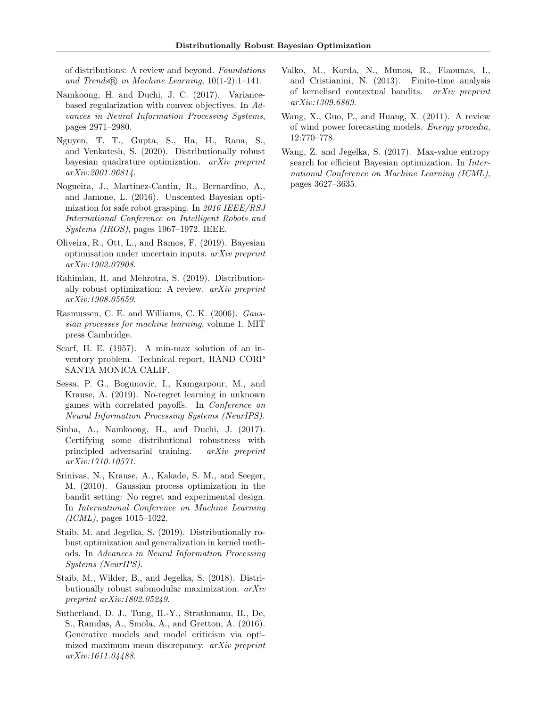of distributions: A review and beyond. Foundations and Trends <sup>R</sup> in Machine Learning, 10(1-2):1–141.

- Namkoong, H. and Duchi, J. C. (2017). Variancebased regularization with convex objectives. In Advances in Neural Information Processing Systems, pages 2971–2980.
- Nguyen, T. T., Gupta, S., Ha, H., Rana, S., and Venkatesh, S. (2020). Distributionally robust bayesian quadrature optimization. arXiv preprint arXiv:2001.06814.
- Nogueira, J., Martinez-Cantin, R., Bernardino, A., and Jamone, L. (2016). Unscented Bayesian optimization for safe robot grasping. In 2016 IEEE/RSJ International Conference on Intelligent Robots and Systems (IROS), pages 1967–1972. IEEE.
- Oliveira, R., Ott, L., and Ramos, F. (2019). Bayesian optimisation under uncertain inputs. arXiv preprint arXiv:1902.07908.
- Rahimian, H. and Mehrotra, S. (2019). Distributionally robust optimization: A review.  $arXiv$  preprint arXiv:1908.05659.
- Rasmussen, C. E. and Williams, C. K. (2006). Gaussian processes for machine learning, volume 1. MIT press Cambridge.
- Scarf, H. E. (1957). A min-max solution of an inventory problem. Technical report, RAND CORP SANTA MONICA CALIF.
- Sessa, P. G., Bogunovic, I., Kamgarpour, M., and Krause, A. (2019). No-regret learning in unknown games with correlated payoffs. In Conference on Neural Information Processing Systems (NeurIPS).
- Sinha, A., Namkoong, H., and Duchi, J. (2017). Certifying some distributional robustness with principled adversarial training. arXiv preprint arXiv:1710.10571.
- Srinivas, N., Krause, A., Kakade, S. M., and Seeger, M. (2010). Gaussian process optimization in the bandit setting: No regret and experimental design. In International Conference on Machine Learning  $(ICML)$ , pages 1015–1022.
- Staib, M. and Jegelka, S. (2019). Distributionally robust optimization and generalization in kernel methods. In Advances in Neural Information Processing Systems (NeurIPS).
- Staib, M., Wilder, B., and Jegelka, S. (2018). Distributionally robust submodular maximization. arXiv preprint arXiv:1802.05249.
- Sutherland, D. J., Tung, H.-Y., Strathmann, H., De, S., Ramdas, A., Smola, A., and Gretton, A. (2016). Generative models and model criticism via optimized maximum mean discrepancy. arXiv preprint arXiv:1611.04488.
- Valko, M., Korda, N., Munos, R., Flaounas, I., and Cristianini, N. (2013). Finite-time analysis of kernelised contextual bandits. arXiv preprint arXiv:1309.6869.
- Wang, X., Guo, P., and Huang, X. (2011). A review of wind power forecasting models. Energy procedia, 12:770–778.
- Wang, Z. and Jegelka, S. (2017). Max-value entropy search for efficient Bayesian optimization. In International Conference on Machine Learning (ICML), pages 3627–3635.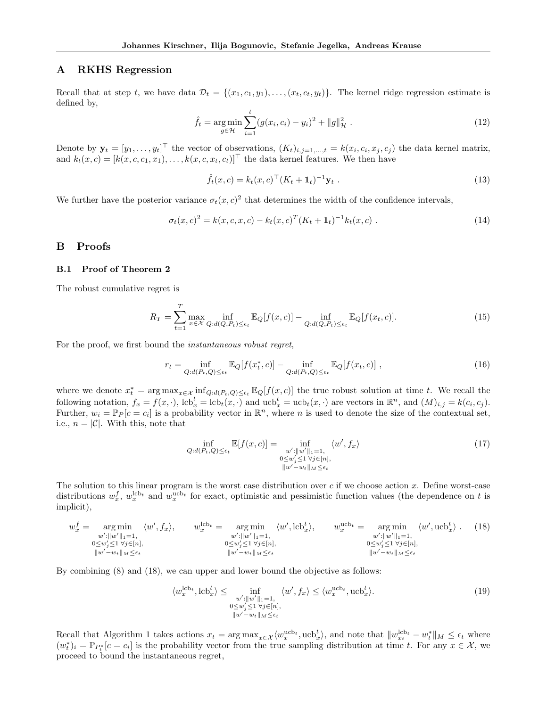## A RKHS Regression

Recall that at step t, we have data  $\mathcal{D}_t = \{(x_1, c_1, y_1), \ldots, (x_t, c_t, y_t)\}.$  The kernel ridge regression estimate is defined by,

$$
\hat{f}_t = \underset{g \in \mathcal{H}}{\arg \min} \sum_{i=1}^t (g(x_i, c_i) - y_i)^2 + ||g||_{\mathcal{H}}^2.
$$
\n(12)

Denote by  $\mathbf{y}_t = [y_1, \dots, y_t]^\top$  the vector of observations,  $(K_t)_{i,j=1,\dots,t} = k(x_i, c_i, x_j, c_j)$  the data kernel matrix, and  $k_t(x, c) = [k(x, c, c_1, x_1), \ldots, k(x, c, x_t, c_t)]^\top$  the data kernel features. We then have

$$
\hat{f}_t(x, c) = k_t(x, c)^\top (K_t + \mathbf{1}_t)^{-1} \mathbf{y}_t .
$$
\n(13)

We further have the posterior variance  $\sigma_t(x, c)^2$  that determines the width of the confidence intervals,

$$
\sigma_t(x,c)^2 = k(x,c,x,c) - k_t(x,c)^T (K_t + \mathbf{1}_t)^{-1} k_t(x,c) . \qquad (14)
$$

## B Proofs

#### B.1 Proof of Theorem 2

The robust cumulative regret is

$$
R_T = \sum_{t=1}^T \max_{x \in \mathcal{X}} \inf_{Q:d(Q, P_t) \le \epsilon_t} \mathbb{E}_Q[f(x, c)] - \inf_{Q:d(Q, P_t) \le \epsilon_t} \mathbb{E}_Q[f(x_t, c)].
$$
\n(15)

For the proof, we first bound the instantaneous robust regret,

$$
r_t = \inf_{Q:d(P_t,Q)\leq\epsilon_t} \mathbb{E}_Q[f(x_t^*,c)] - \inf_{Q:d(P_t,Q)\leq\epsilon_t} \mathbb{E}_Q[f(x_t,c)]\;, \tag{16}
$$

where we denote  $x_t^* = \arg \max_{x \in \mathcal{X}} \inf_{Q:d(P_t,Q) \leq \epsilon_t} \mathbb{E}_Q[f(x,c)]$  the true robust solution at time t. We recall the following notation,  $f_x = f(x, \cdot)$ ,  $lcb_x^t = lcb_t(x, \cdot)$  and  $ucb_x^t = ucb_t(x, \cdot)$  are vectors in  $\mathbb{R}^n$ , and  $(M)_{i,j} = k(c_i, c_j)$ . Further,  $w_i = \mathbb{P}_P[c = c_i]$  is a probability vector in  $\mathbb{R}^n$ , where n is used to denote the size of the contextual set, i.e.,  $n = |\mathcal{C}|$ . With this, note that

$$
\inf_{Q:d(P_t,Q)\leq\epsilon_t} \mathbb{E}[f(x,c)] = \inf_{\substack{w':||w'||=1,\\0\leq w'_j\leq 1 \,\forall j\in[n],\\||w'-w_t||_M\leq\epsilon_t}} \langle w', f_x \rangle \tag{17}
$$

The solution to this linear program is the worst case distribution over  $c$  if we choose action  $x$ . Define worst-case distributions  $w_x^f, w_x^{\text{lob}_t}$  and  $w_x^{\text{ucb}_t}$  for exact, optimistic and pessimistic function values (the dependence on t is implicit),

$$
w_x^f = \underset{\substack{w':\|w'\|_1=1,\\0\le w'_j\le 1\,\forall j\in[n],\\|w'-w_t\|_M\le \epsilon_t}}{\arg\min} \langle w', f_x \rangle, \qquad w_x^{\text{lcb}_t} = \underset{\substack{w':\|w'\|_1=1,\\0\le w'_j\le 1\,\forall j\in[n],\\|w'-w_t\|_M\le \epsilon_t}}{\arg\min} \langle w', \text{lcb}_x^t \rangle, \qquad w_x^{\text{ucbt}} = \underset{\substack{w':\|w'\|_1=1,\\0\le w'_j\le 1\,\forall j\in[n],\\|w'-w_t\|_M\le \epsilon_t}}{\arg\min} \langle w', \text{ucb}_x^t \rangle. \qquad (18)
$$

By combining (8) and (18), we can upper and lower bound the objective as follows:

$$
\langle w_x^{\text{leb}_t}, \text{leb}_x^t \rangle \le \inf_{\substack{w': ||w'||_1 = 1, \\ 0 \le w'_j \le 1 \ \forall j \in [n], \\ ||w' - w_t||_M \le \epsilon_t}} \langle w', f_x \rangle \le \langle w_x^{\text{ucb}_t}, \text{ucb}_x^t \rangle. \tag{19}
$$

Recall that Algorithm 1 takes actions  $x_t = \arg \max_{x \in \mathcal{X}} \langle w_x^{\text{ucb}_t}, \text{ucb}_x^t \rangle$ , and note that  $||w_{xt}^{\text{lcb}_t} - w_t^*||_M \leq \epsilon_t$  where  $(w_t^*)_i = \mathbb{P}_{P_t^*}[c = c_i]$  is the probability vector from the true sampling distribution at time t. For any  $x \in \mathcal{X}$ , we proceed to bound the instantaneous regret,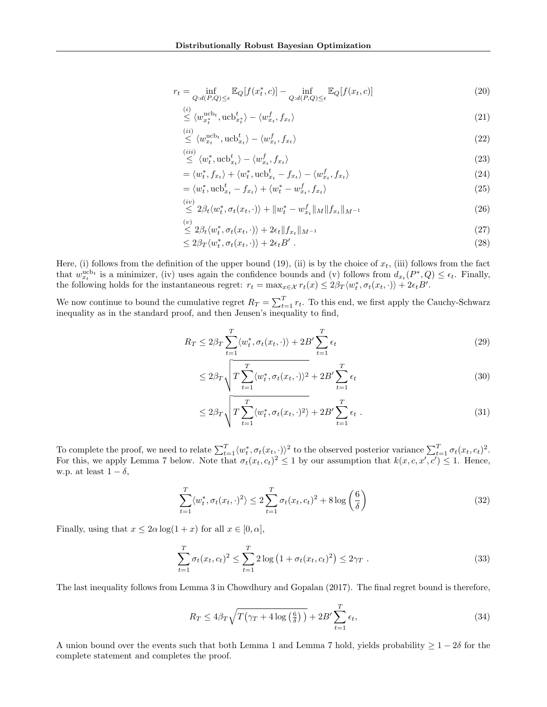$$
r_t = \inf_{Q:d(P,Q)\leq\epsilon} \mathbb{E}_Q[f(x_t^*, c)] - \inf_{Q:d(P,Q)\leq\epsilon} \mathbb{E}_Q[f(x_t, c)]
$$
\n(20)

$$
\stackrel{\text{(i)}}{\leq} \langle w_{x_t^*}^{\text{ucb}_t}, \text{ucb}_{x_t^*}^t \rangle - \langle w_{x_t}^f, f_{x_t} \rangle \tag{21}
$$

$$
\stackrel{(ii)}{\leq} \langle w_{x_t}^{\text{ucb}_t}, \text{ucb}_{x_t}^t \rangle - \langle w_{x_t}^f, f_{x_t} \rangle \tag{22}
$$

$$
\stackrel{(iii)}{\leq} \langle w_t^*, \text{ucb}_{x_t}^t \rangle - \langle w_{x_t}^f, f_{x_t} \rangle \tag{23}
$$

$$
= \langle w_t^*, f_{x_t} \rangle + \langle w_t^*, \operatorname{ucb}_{x_t}^t - f_{x_t} \rangle - \langle w_{x_t}^f, f_{x_t} \rangle \tag{24}
$$

$$
= \langle w_t^*, \operatorname{ucb}_{x_t}^t - f_{x_t} \rangle + \langle w_t^* - w_{x_t}^f, f_{x_t} \rangle \tag{25}
$$

$$
\stackrel{(iv)}{\leq} 2\beta_t \langle w_t^*, \sigma_t(x_t, \cdot) \rangle + \|w_t^* - w_{x_t}^f\|_M \|f_{x_t}\|_{M^{-1}} \tag{26}
$$

$$
\stackrel{(v)}{\leq} 2\beta_t \langle w_t^*, \sigma_t(x_t, \cdot) \rangle + 2\epsilon_t \| f_{x_t} \|_{M^{-1}} \tag{27}
$$

$$
\leq 2\beta_T \langle w_t^*, \sigma_t(x_t, \cdot) \rangle + 2\epsilon_t B' \tag{28}
$$

Here, (i) follows from the definition of the upper bound (19), (ii) is by the choice of  $x_t$ , (iii) follows from the fact that  $w_{x_t}^{\text{ucb}_t}$  is a minimizer, (iv) uses again the confidence bounds and (v) follows from  $d_{x_t}(P^*,Q) \leq \epsilon_t$ . Finally, the following holds for the instantaneous regret:  $r_t = \max_{x \in \mathcal{X}} r_t(x) \leq 2\beta_T \langle w_t^*, \sigma_t(x_t, \cdot) \rangle + 2\epsilon_t B'.$ 

We now continue to bound the cumulative regret  $R_T = \sum_{t=1}^T r_t$ . To this end, we first apply the Cauchy-Schwarz inequality as in the standard proof, and then Jensen's inequality to find,

$$
R_T \le 2\beta_T \sum_{t=1}^T \langle w_t^*, \sigma_t(x_t, \cdot) \rangle + 2B' \sum_{t=1}^T \epsilon_t
$$
\n(29)

$$
\leq 2\beta_T \sqrt{T \sum_{t=1}^T \langle w_t^*, \sigma_t(x_t, \cdot) \rangle^2 + 2B' \sum_{t=1}^T \epsilon_t}
$$
\n(30)

$$
\leq 2\beta_T \sqrt{T \sum_{t=1}^T \langle w_t^*, \sigma_t(x_t, \cdot)^2 \rangle + 2B' \sum_{t=1}^T \epsilon_t}.
$$
\n(31)

To complete the proof, we need to relate  $\sum_{t=1}^{T} \langle w_t^*, \sigma_t(x_t, \cdot) \rangle^2$  to the observed posterior variance  $\sum_{t=1}^{T} \sigma_t(x_t, c_t)^2$ . For this, we apply Lemma 7 below. Note that  $\sigma_t(x_t, c_t)^2 \leq 1$  by our assumption that  $k(x, c, x', c') \leq 1$ . Hence, w.p. at least  $1 - \delta$ ,

$$
\sum_{t=1}^{T} \langle w_t^*, \sigma_t(x_t, \cdot)^2 \rangle \le 2 \sum_{t=1}^{T} \sigma_t(x_t, c_t)^2 + 8 \log \left( \frac{6}{\delta} \right)
$$
\n(32)

Finally, using that  $x \le 2\alpha \log(1+x)$  for all  $x \in [0, \alpha]$ ,

$$
\sum_{t=1}^{T} \sigma_t(x_t, c_t)^2 \le \sum_{t=1}^{T} 2 \log \left( 1 + \sigma_t(x_t, c_t)^2 \right) \le 2\gamma_T \tag{33}
$$

The last inequality follows from Lemma 3 in Chowdhury and Gopalan (2017). The final regret bound is therefore,

$$
R_T \le 4\beta_T \sqrt{T(\gamma_T + 4\log\left(\frac{6}{\delta}\right))} + 2B' \sum_{t=1}^T \epsilon_t,\tag{34}
$$

A union bound over the events such that both Lemma 1 and Lemma 7 hold, yields probability  $\geq 1-2\delta$  for the complete statement and completes the proof.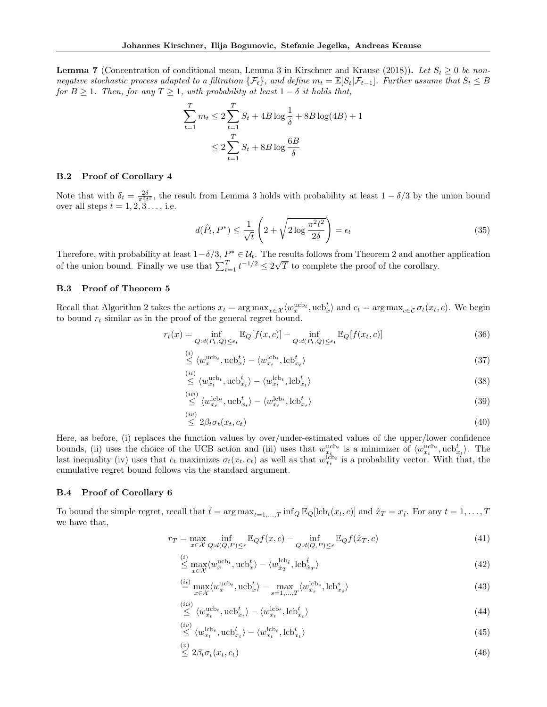**Lemma 7** (Concentration of conditional mean, Lemma 3 in Kirschner and Krause (2018)). Let  $S_t \geq 0$  be nonnegative stochastic process adapted to a filtration  $\{\mathcal{F}_t\}$ , and define  $m_t = \mathbb{E}[S_t|\mathcal{F}_{t-1}]$ . Further assume that  $S_t \leq B$ for  $B \geq 1$ . Then, for any  $T \geq 1$ , with probability at least  $1 - \delta$  it holds that,

$$
\sum_{t=1}^{T} m_t \le 2 \sum_{t=1}^{T} S_t + 4B \log \frac{1}{\delta} + 8B \log(4B) + 1
$$
  

$$
\le 2 \sum_{t=1}^{T} S_t + 8B \log \frac{6B}{\delta}
$$

#### B.2 Proof of Corollary 4

Note that with  $\delta_t = \frac{2\delta}{\pi^2 t^2}$ , the result from Lemma 3 holds with probability at least  $1 - \delta/3$  by the union bound over all steps  $t = 1, 2, 3, \ldots$ , i.e.

$$
d(\hat{P}_t, P^*) \le \frac{1}{\sqrt{t}} \left( 2 + \sqrt{2 \log \frac{\pi^2 t^2}{2\delta}} \right) = \epsilon_t
$$
\n(35)

Therefore, with probability at least  $1-\delta/3$ ,  $P^* \in \mathcal{U}_t$ . The results follows from Theorem 2 and another application of the union bound. Finally we use that  $\sum_{t=1}^{T} t^{-1/2} \leq 2\sqrt{2\pi}$ T to complete the proof of the corollary.

#### B.3 Proof of Theorem 5

Recall that Algorithm 2 takes the actions  $x_t = \arg \max_{x \in \mathcal{X}} \langle w_x^{\text{ucb}_t}, \text{ucb}_x^t \rangle$  and  $c_t = \arg \max_{c \in \mathcal{C}} \sigma_t(x_t, c)$ . We begin to bound  $r_t$  similar as in the proof of the general regret bound.

$$
r_t(x) = \inf_{Q:d(P_t,Q) \le \epsilon_t} \mathbb{E}_Q[f(x,c)] - \inf_{Q:d(P_t,Q) \le \epsilon_t} \mathbb{E}_Q[f(x_t,c)] \tag{36}
$$

$$
\stackrel{(i)}{\leq} \langle w_x^{\text{ucb}_t}, \text{ucb}_x^t \rangle - \langle w_{x_t}^{\text{lcb}_t}, \text{lcb}_{x_t}^t \rangle \tag{37}
$$

$$
\overset{(ii)}{\leq} \langle w_{x_t}^{\text{ucb}_t}, \text{ucb}_{x_t}^t \rangle - \langle w_{x_t}^{\text{lcb}_t}, \text{lcb}_{x_t}^t \rangle \tag{38}
$$

$$
\stackrel{(iii)}{\leq} \langle w_{x_t}^{\text{lcb}_t}, \text{ucb}_{x_t}^t \rangle - \langle w_{x_t}^{\text{lcb}_t}, \text{lcb}_{x_t}^t \rangle \tag{39}
$$

$$
\leq 2\beta_t \sigma_t(x_t, c_t) \tag{40}
$$

Here, as before, (i) replaces the function values by over/under-estimated values of the upper/lower confidence bounds, (ii) uses the choice of the UCB action and (iii) uses that  $w_{x_t}^{\text{ucb}_t}$  is a minimizer of  $\langle w_{x_t}^{\text{ucb}_t}, \text{ucb}_{x_t}^t \rangle$ . The last inequality (iv) uses that  $c_t$  maximizes  $\sigma_t(x_t, c_t)$  as well as that  $w_{x_t}^{\text{leb}_t}$  is a probability vector. With that, the cumulative regret bound follows via the standard argument.

#### B.4 Proof of Corollary 6

To bound the simple regret, recall that  $\hat{t} = \arg \max_{t=1,...,T} \inf_{Q} \mathbb{E}_{Q}[\mathrm{lcb}_{t}(x_{t}, c)]$  and  $\hat{x}_{T} = x_{\hat{t}}$ . For any  $t = 1, ..., T$ we have that,

$$
r_T = \max_{x \in \mathcal{X}} \inf_{Q:d(Q,P) \le \epsilon} \mathbb{E}_Q f(x,c) - \inf_{Q:d(Q,P) \le \epsilon} \mathbb{E}_Q f(\hat{x}_T, c)
$$
(41)

$$
\stackrel{(i)}{\leq} \max_{x \in \mathcal{X}} \langle w_x^{\text{ucb}_t}, \text{ucb}_x^t \rangle - \langle w_{\hat{x}_T}^{\text{lcb}_t}, \text{lcb}_{\hat{x}_T}^{\hat{t}} \rangle \tag{42}
$$

$$
\stackrel{(ii)}{=} \max_{x \in \mathcal{X}} \langle w_x^{\text{ucb}_t}, \text{ucb}_x^t \rangle - \max_{s=1,\dots,T} \langle w_{x_s}^{\text{lcb}_s}, \text{lcb}_{x_s}^s \rangle \tag{43}
$$

$$
\stackrel{(iii)}{\leq} \langle w_{x_t}^{\text{ucb}_t}, \text{ucb}_{x_t}^t \rangle - \langle w_{x_t}^{\text{lcb}_t}, \text{lcb}_{x_t}^t \rangle \tag{44}
$$

$$
\stackrel{(iv)}{\leq} \langle w_{x_t}^{\text{lcb}_t}, \text{ucb}_{x_t}^t \rangle - \langle w_{x_t}^{\text{lcb}_t}, \text{lcb}_{x_t}^t \rangle \tag{45}
$$

$$
\leq 2\beta_t \sigma_t(x_t, c_t) \tag{46}
$$